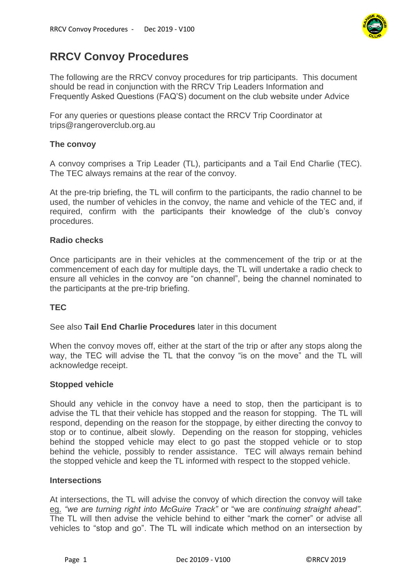

# **RRCV Convoy Procedures**

The following are the RRCV convoy procedures for trip participants. This document should be read in conjunction with the RRCV Trip Leaders Information and Frequently Asked Questions (FAQ'S) document on the club website under Advice

For any queries or questions please contact the RRCV Trip Coordinator at trips@rangeroverclub.org.au

## **The convoy**

A convoy comprises a Trip Leader (TL), participants and a Tail End Charlie (TEC). The TEC always remains at the rear of the convoy.

At the pre-trip briefing, the TL will confirm to the participants, the radio channel to be used, the number of vehicles in the convoy, the name and vehicle of the TEC and, if required, confirm with the participants their knowledge of the club's convoy procedures.

### **Radio checks**

Once participants are in their vehicles at the commencement of the trip or at the commencement of each day for multiple days, the TL will undertake a radio check to ensure all vehicles in the convoy are "on channel", being the channel nominated to the participants at the pre-trip briefing.

## **TEC**

#### See also **Tail End Charlie Procedures** later in this document

When the convoy moves off, either at the start of the trip or after any stops along the way, the TEC will advise the TL that the convoy "is on the move" and the TL will acknowledge receipt.

#### **Stopped vehicle**

Should any vehicle in the convoy have a need to stop, then the participant is to advise the TL that their vehicle has stopped and the reason for stopping. The TL will respond, depending on the reason for the stoppage, by either directing the convoy to stop or to continue, albeit slowly. Depending on the reason for stopping, vehicles behind the stopped vehicle may elect to go past the stopped vehicle or to stop behind the vehicle, possibly to render assistance. TEC will always remain behind the stopped vehicle and keep the TL informed with respect to the stopped vehicle.

#### **Intersections**

At intersections, the TL will advise the convoy of which direction the convoy will take eg. *"we are turning right into McGuire Track"* or "we are *continuing straight ahead".* The TL will then advise the vehicle behind to either "mark the corner" or advise all vehicles to "stop and go". The TL will indicate which method on an intersection by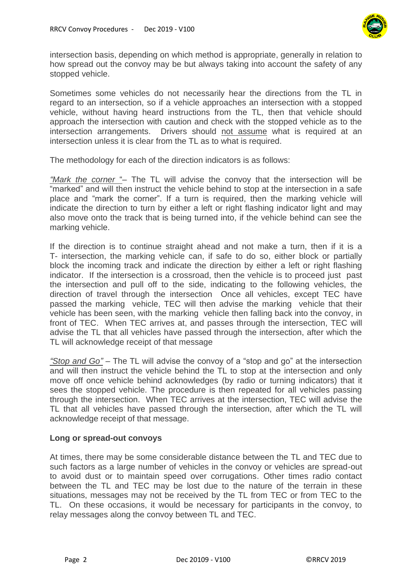

intersection basis, depending on which method is appropriate, generally in relation to how spread out the convoy may be but always taking into account the safety of any stopped vehicle.

Sometimes some vehicles do not necessarily hear the directions from the TL in regard to an intersection, so if a vehicle approaches an intersection with a stopped vehicle, without having heard instructions from the TL, then that vehicle should approach the intersection with caution and check with the stopped vehicle as to the intersection arrangements. Drivers should not assume what is required at an intersection unless it is clear from the TL as to what is required.

The methodology for each of the direction indicators is as follows:

*"Mark the corner* "– The TL will advise the convoy that the intersection will be "marked" and will then instruct the vehicle behind to stop at the intersection in a safe place and "mark the corner". If a turn is required, then the marking vehicle will indicate the direction to turn by either a left or right flashing indicator light and may also move onto the track that is being turned into, if the vehicle behind can see the marking vehicle.

If the direction is to continue straight ahead and not make a turn, then if it is a T- intersection, the marking vehicle can, if safe to do so, either block or partially block the incoming track and indicate the direction by either a left or right flashing indicator. If the intersection is a crossroad, then the vehicle is to proceed just past the intersection and pull off to the side, indicating to the following vehicles, the direction of travel through the intersection Once all vehicles, except TEC have passed the marking vehicle, TEC will then advise the marking vehicle that their vehicle has been seen, with the marking vehicle then falling back into the convoy, in front of TEC. When TEC arrives at, and passes through the intersection, TEC will advise the TL that all vehicles have passed through the intersection, after which the TL will acknowledge receipt of that message

*"Stop and Go"* – The TL will advise the convoy of a "stop and go" at the intersection and will then instruct the vehicle behind the TL to stop at the intersection and only move off once vehicle behind acknowledges (by radio or turning indicators) that it sees the stopped vehicle. The procedure is then repeated for all vehicles passing through the intersection. When TEC arrives at the intersection, TEC will advise the TL that all vehicles have passed through the intersection, after which the TL will acknowledge receipt of that message.

#### **Long or spread-out convoys**

At times, there may be some considerable distance between the TL and TEC due to such factors as a large number of vehicles in the convoy or vehicles are spread-out to avoid dust or to maintain speed over corrugations. Other times radio contact between the TL and TEC may be lost due to the nature of the terrain in these situations, messages may not be received by the TL from TEC or from TEC to the TL. On these occasions, it would be necessary for participants in the convoy, to relay messages along the convoy between TL and TEC.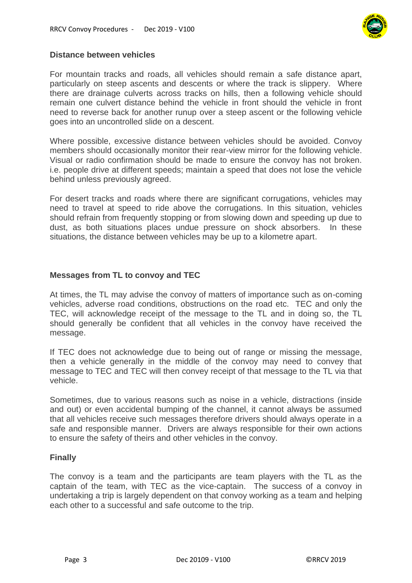

## **Distance between vehicles**

For mountain tracks and roads, all vehicles should remain a safe distance apart, particularly on steep ascents and descents or where the track is slippery. Where there are drainage culverts across tracks on hills, then a following vehicle should remain one culvert distance behind the vehicle in front should the vehicle in front need to reverse back for another runup over a steep ascent or the following vehicle goes into an uncontrolled slide on a descent.

Where possible, excessive distance between vehicles should be avoided. Convoy members should occasionally monitor their rear-view mirror for the following vehicle. Visual or radio confirmation should be made to ensure the convoy has not broken. i.e. people drive at different speeds; maintain a speed that does not lose the vehicle behind unless previously agreed.

For desert tracks and roads where there are significant corrugations, vehicles may need to travel at speed to ride above the corrugations. In this situation, vehicles should refrain from frequently stopping or from slowing down and speeding up due to dust, as both situations places undue pressure on shock absorbers. In these situations, the distance between vehicles may be up to a kilometre apart.

## **Messages from TL to convoy and TEC**

At times, the TL may advise the convoy of matters of importance such as on-coming vehicles, adverse road conditions, obstructions on the road etc. TEC and only the TEC, will acknowledge receipt of the message to the TL and in doing so, the TL should generally be confident that all vehicles in the convoy have received the message.

If TEC does not acknowledge due to being out of range or missing the message, then a vehicle generally in the middle of the convoy may need to convey that message to TEC and TEC will then convey receipt of that message to the TL via that vehicle.

Sometimes, due to various reasons such as noise in a vehicle, distractions (inside and out) or even accidental bumping of the channel, it cannot always be assumed that all vehicles receive such messages therefore drivers should always operate in a safe and responsible manner. Drivers are always responsible for their own actions to ensure the safety of theirs and other vehicles in the convoy.

## **Finally**

The convoy is a team and the participants are team players with the TL as the captain of the team, with TEC as the vice-captain. The success of a convoy in undertaking a trip is largely dependent on that convoy working as a team and helping each other to a successful and safe outcome to the trip.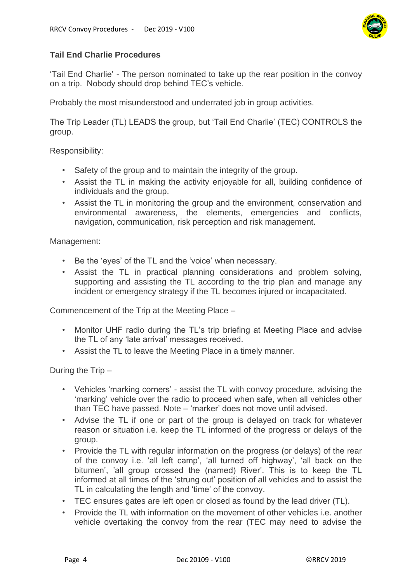

# **Tail End Charlie Procedures**

'Tail End Charlie' - The person nominated to take up the rear position in the convoy on a trip. Nobody should drop behind TEC's vehicle.

Probably the most misunderstood and underrated job in group activities.

The Trip Leader (TL) LEADS the group, but 'Tail End Charlie' (TEC) CONTROLS the group.

Responsibility:

- Safety of the group and to maintain the integrity of the group.
- Assist the TL in making the activity enjoyable for all, building confidence of individuals and the group.
- Assist the TL in monitoring the group and the environment, conservation and environmental awareness, the elements, emergencies and conflicts, navigation, communication, risk perception and risk management.

Management:

- Be the 'eyes' of the TL and the 'voice' when necessary.
- Assist the TL in practical planning considerations and problem solving, supporting and assisting the TL according to the trip plan and manage any incident or emergency strategy if the TL becomes injured or incapacitated.

Commencement of the Trip at the Meeting Place –

- Monitor UHF radio during the TL's trip briefing at Meeting Place and advise the TL of any 'late arrival' messages received.
- Assist the TL to leave the Meeting Place in a timely manner.

During the Trip –

- Vehicles 'marking corners' assist the TL with convoy procedure, advising the 'marking' vehicle over the radio to proceed when safe, when all vehicles other than TEC have passed. Note – 'marker' does not move until advised.
- Advise the TL if one or part of the group is delayed on track for whatever reason or situation i.e. keep the TL informed of the progress or delays of the group.
- Provide the TL with regular information on the progress (or delays) of the rear of the convoy i.e. 'all left camp', 'all turned off highway', 'all back on the bitumen', 'all group crossed the (named) River'. This is to keep the TL informed at all times of the 'strung out' position of all vehicles and to assist the TL in calculating the length and 'time' of the convoy.
- TEC ensures gates are left open or closed as found by the lead driver (TL).
- Provide the TL with information on the movement of other vehicles i.e. another vehicle overtaking the convoy from the rear (TEC may need to advise the